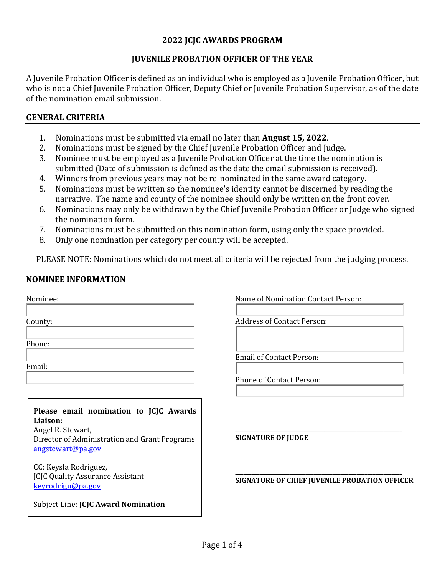## **2022 JCJC AWARDS PROGRAM**

## **JUVENILE PROBATION OFFICER OF THE YEAR**

A Juvenile Probation Officer is defined as an individual who is employed as a Juvenile Probation Officer, but who is not a Chief Juvenile Probation Officer, Deputy Chief or Juvenile Probation Supervisor, as of the date of the nomination email submission.

### **GENERAL CRITERIA**

- 1. Nominations must be submitted via email no later than **August 15, 2022**.
- 2. Nominations must be signed by the Chief Juvenile Probation Officer and Judge.
- 3. Nominee must be employed as a Juvenile Probation Officer at the time the nomination is submitted (Date of submission is defined as the date the email submission is received).
- 4. Winners from previous years may not be re-nominated in the same award category.<br>5. Nominations must be written so the nominee's identity cannot be discerned by read
- 5. Nominations must be written so the nominee's identity cannot be discerned by reading the narrative. The name and county of the nominee should only be written on the front cover.
- 6. Nominations may only be withdrawn by the Chief Juvenile Probation Officer or Judge who signed the nomination form.
- 7. Nominations must be submitted on this nomination form, using only the space provided.<br>8. Only one nomination per category per county will be accepted.
- Only one nomination per category per county will be accepted.

PLEASE NOTE: Nominations which do not meet all criteria will be rejected from the judging process.

### **NOMINEE INFORMATION**

| Nominee:                                                                                                                 | Name of Nomination Contact Person:            |  |
|--------------------------------------------------------------------------------------------------------------------------|-----------------------------------------------|--|
| County:                                                                                                                  | <b>Address of Contact Person:</b>             |  |
| Phone:                                                                                                                   |                                               |  |
| Email:                                                                                                                   | <b>Email of Contact Person:</b>               |  |
|                                                                                                                          | <b>Phone of Contact Person:</b>               |  |
| Please email nomination to JCJC Awards<br>Liaison:<br>Angel R. Stewart,<br>Director of Administration and Grant Programs | <b>SIGNATURE OF JUDGE</b>                     |  |
| angstewart@pa.gov<br>CC: Keysla Rodriguez,<br><b>JCJC Quality Assurance Assistant</b>                                    |                                               |  |
| keyrodrigu@pa.gov<br>Subject Line: <b>JCJC Award Nomination</b>                                                          | SIGNATURE OF CHIEF JUVENILE PROBATION OFFICER |  |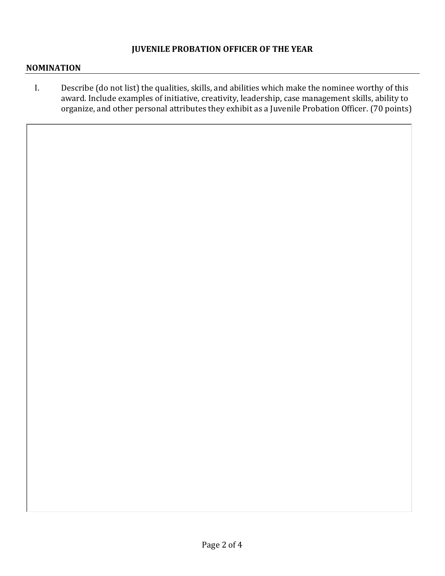## **JUVENILE PROBATION OFFICER OF THE YEAR**

#### **NOMINATION**

I. Describe (do not list) the qualities, skills, and abilities which make the nominee worthy of this award. Include examples of initiative, creativity, leadership, case management skills, ability to organize, and other personal attributes they exhibit as a Juvenile Probation Officer. (70 points)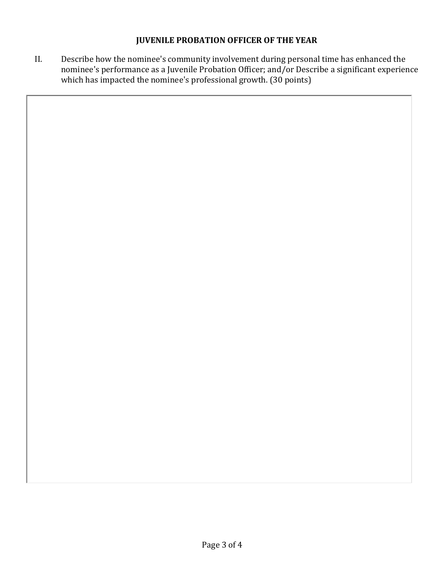## **JUVENILE PROBATION OFFICER OF THE YEAR**

II. Describe how the nominee's community involvement during personal time has enhanced the nominee's performance as a Juvenile Probation Officer; and/or Describe a significant experience which has impacted the nominee's professional growth. (30 points)